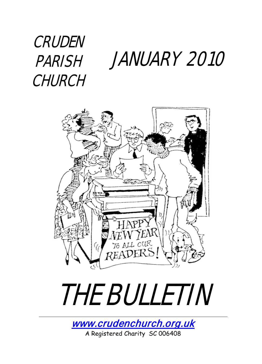## JANUARY 2010 **CRUDEN** PARISH **CHURCH**





[www.crudenchurch.org.uk](http://www.crudenchurch.org.uk/) A Registered Charity SC 006408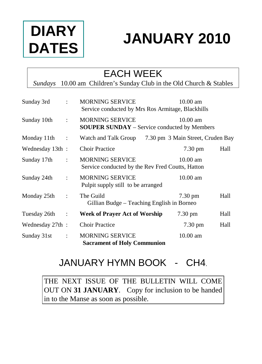

# **JANUARY 2010**

### EACH WEEK

*Sundays* 10.00 am Children's Sunday Club in the Old Church & Stables

| Sunday 3rd      | ٠                    | <b>MORNING SERVICE</b><br>Service conducted by Mrs Ros Armitage, Blackhills   | $10.00$ am                        |      |
|-----------------|----------------------|-------------------------------------------------------------------------------|-----------------------------------|------|
| Sunday 10th     | ÷                    | <b>MORNING SERVICE</b><br><b>SOUPER SUNDAY</b> – Service conducted by Members | $10.00$ am                        |      |
| Monday 11th     | $\ddot{\phantom{a}}$ | Watch and Talk Group                                                          | 7.30 pm 3 Main Street, Cruden Bay |      |
| Wednesday 13th: |                      | <b>Choir Practice</b>                                                         | 7.30 pm                           | Hall |
| Sunday 17th     | $\ddot{\cdot}$       | <b>MORNING SERVICE</b><br>Service conducted by the Rev Fred Coutts, Hatton    | $10.00 \text{ am}$                |      |
| Sunday 24th     | $\ddot{\phantom{a}}$ | <b>MORNING SERVICE</b><br>Pulpit supply still to be arranged                  | $10.00$ am                        |      |
| Monday 25th     | ÷                    | The Guild<br>Gillian Budge - Teaching English in Borneo                       | $7.30 \text{ pm}$                 | Hall |
| Tuesday 26th    | $\ddot{\cdot}$       | <b>Week of Prayer Act of Worship</b>                                          | $7.30 \text{ pm}$                 | Hall |
| Wednesday 27th: |                      | <b>Choir Practice</b>                                                         | $7.30 \text{ pm}$                 | Hall |
| Sunday 31st     | $\ddot{\phantom{a}}$ | <b>MORNING SERVICE</b><br><b>Sacrament of Holy Communion</b>                  | $10.00$ am                        |      |

### JANUARY HYMN BOOK - CH4.

THE NEXT ISSUE OF THE BULLETIN WILL COME OUT ON **31 JANUARY**. Copy for inclusion to be handed in to the Manse as soon as possible.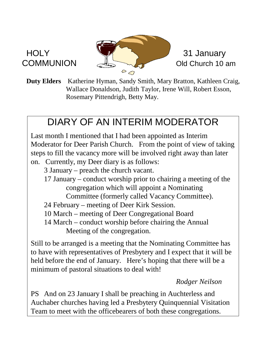

**Duty Elders** Katherine Hyman, Sandy Smith, Mary Bratton, Kathleen Craig, Wallace Donaldson, Judith Taylor, Irene Will, Robert Esson, Rosemary Pittendrigh, Betty May.

### DIARY OF AN INTERIM MODERATOR

Last month I mentioned that I had been appointed as Interim Moderator for Deer Parish Church. From the point of view of taking steps to fill the vacancy more will be involved right away than later on. Currently, my Deer diary is as follows:

- 3 January preach the church vacant.
- 17 January conduct worship prior to chairing a meeting of the congregation which will appoint a Nominating
	- Committee (formerly called Vacancy Committee).
- 24 February meeting of Deer Kirk Session.
- 10 March meeting of Deer Congregational Board
- 14 March conduct worship before chairing the Annual Meeting of the congregation.

Still to be arranged is a meeting that the Nominating Committee has to have with representatives of Presbytery and I expect that it will be held before the end of January. Here's hoping that there will be a minimum of pastoral situations to deal with!

### *Rodger Neilson*

PS And on 23 January I shall be preaching in Auchterless and Auchaber churches having led a Presbytery Quinquennial Visitation Team to meet with the officebearers of both these congregations.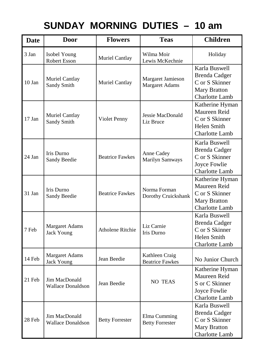## **SUNDAY MORNING DUTIES – 10 am**

| <b>Date</b> | <b>Door</b>                               | <b>Flowers</b>          | <b>Teas</b>                                | <b>Children</b>                                                                                  |
|-------------|-------------------------------------------|-------------------------|--------------------------------------------|--------------------------------------------------------------------------------------------------|
| 3 Jan       | Isobel Young<br><b>Robert Esson</b>       | Muriel Cantlay          | Wilma Moir<br>Lewis McKechnie              | Holiday                                                                                          |
| $10$ Jan    | Muriel Cantlay<br>Sandy Smith             | Muriel Cantlay          | Margaret Jamieson<br><b>Margaret Adams</b> | Karla Buswell<br><b>Brenda Cadger</b><br>C or S Skinner<br><b>Mary Bratton</b><br>Charlotte Lamb |
| 17 Jan      | Muriel Cantlay<br>Sandy Smith             | Violet Penny            | Jessie MacDonald<br>Liz Bruce              | Katherine Hyman<br>Maureen Reid<br>C or S Skinner<br>Helen Smith<br>Charlotte Lamb               |
| 24 Jan      | Iris Durno<br>Sandy Beedie                | <b>Beatrice Fawkes</b>  | Anne Cadey<br>Marilyn Samways              | Karla Buswell<br><b>Brenda Cadger</b><br>C or S Skinner<br>Joyce Fowlie<br>Charlotte Lamb        |
| 31 Jan      | Iris Durno<br>Sandy Beedie                | <b>Beatrice Fawkes</b>  | Norma Forman<br>Dorothy Cruickshank        | Katherine Hyman<br>Maureen Reid<br>C or S Skinner<br>Mary Bratton<br>Charlotte Lamb              |
| 7 Feb       | Margaret Adams<br><b>Jack Young</b>       | <b>Atholene Ritchie</b> | Liz Carnie<br>Iris Durno                   | Karla Buswell<br><b>Brenda</b> Cadger<br>C or S Skinner<br>Helen Smith<br>Charlotte Lamb         |
| 14 Feb      | Margaret Adams<br><b>Jack Young</b>       | Jean Beedie             | Kathleen Craig<br><b>Beatrice Fawkes</b>   | No Junior Church                                                                                 |
| 21 Feb      | Jim MacDonald<br><b>Wallace Donaldson</b> | Jean Beedie             | NO TEAS                                    | Katherine Hyman<br>Maureen Reid<br>S or C Skinner<br>Joyce Fowlie<br>Charlotte Lamb              |
| 28 Feb      | Jim MacDonald<br><b>Wallace Donaldson</b> | <b>Betty Forrester</b>  | Elma Cumming<br><b>Betty Forrester</b>     | Karla Buswell<br><b>Brenda Cadger</b><br>C or S Skinner<br><b>Mary Bratton</b><br>Charlotte Lamb |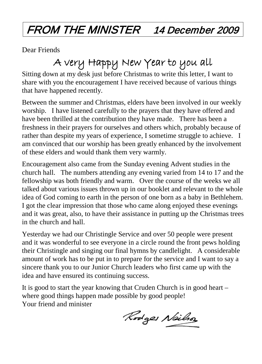## FROM THE MINISTER 14 December 2009

Dear Friends

## A very Happy New Year to you all

Sitting down at my desk just before Christmas to write this letter, I want to share with you the encouragement I have received because of various things that have happened recently.

Between the summer and Christmas, elders have been involved in our weekly worship. I have listened carefully to the prayers that they have offered and have been thrilled at the contribution they have made. There has been a freshness in their prayers for ourselves and others which, probably because of rather than despite my years of experience, I sometime struggle to achieve. I am convinced that our worship has been greatly enhanced by the involvement of these elders and would thank them very warmly.

Encouragement also came from the Sunday evening Advent studies in the church hall. The numbers attending any evening varied from 14 to 17 and the fellowship was both friendly and warm. Over the course of the weeks we all talked about various issues thrown up in our booklet and relevant to the whole idea of God coming to earth in the person of one born as a baby in Bethlehem. I got the clear impression that those who came along enjoyed these evenings and it was great, also, to have their assistance in putting up the Christmas trees in the church and hall.

Yesterday we had our Christingle Service and over 50 people were present and it was wonderful to see everyone in a circle round the front pews holding their Christingle and singing our final hymns by candlelight. A considerable amount of work has to be put in to prepare for the service and I want to say a sincere thank you to our Junior Church leaders who first came up with the idea and have ensured its continuing success.

It is good to start the year knowing that Cruden Church is in good heart – where good things happen made possible by good people! Your friend and minister

Rodges Neilso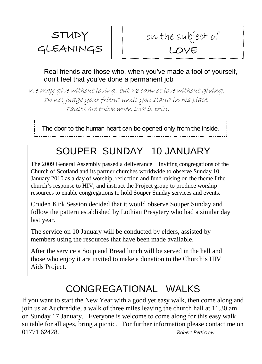

### on the subject of LOVE

Real friends are those who, when you've made a fool of yourself, don't feel that you've done a permanent job

We may give without loving, but we cannot love without giving. Do not judge your friend until you stand in his place. Faults are thick when love is thin.

The door to the human heart can be opened only from the inside.

### SOUPER SUNDAY 10 JANUARY

The 2009 General Assembly passed a deliverance Inviting congregations of the Church of Scotland and its partner churches worldwide to observe Sunday 10 January 2010 as a day of worship, reflection and fund-raising on the theme f the church's response to HIV, and instruct the Project group to produce worship resources to enable congregations to hold Souper Sunday services and events.

Cruden Kirk Session decided that it would observe Souper Sunday and follow the pattern established by Lothian Presytery who had a similar day last year.

The service on 10 January will be conducted by elders, assisted by members using the resources that have been made available.

After the service a Soup and Bread lunch will be served in the hall and those who enjoy it are invited to make a donation to the Church's HIV Aids Project.

### CONGREGATIONAL WALKS

If you want to start the New Year with a good yet easy walk, then come along and join us at Auchreddie, a walk of three miles leaving the church hall at 11.30 am on Sunday 17 January. Everyone is welcome to come along for this easy walk suitable for all ages, bring a picnic. For further information please contact me on 01771 62428. *Robert Petticrew*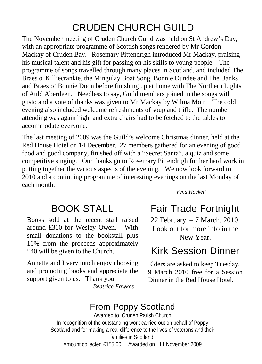### CRUDEN CHURCH GUILD

The November meeting of Cruden Church Guild was held on St Andrew's Day, with an appropriate programme of Scottish songs rendered by Mr Gordon Mackay of Cruden Bay. Rosemary Pittendrigh introduced Mr Mackay, praising his musical talent and his gift for passing on his skills to young people. The programme of songs travelled through many places in Scotland, and included The Braes o' Killiecrankie, the Mingulay Boat Song, Bonnie Dundee and The Banks and Braes o' Bonnie Doon before finishing up at home with The Northern Lights of Auld Aberdeen. Needless to say, Guild members joined in the songs with gusto and a vote of thanks was given to Mr Mackay by Wilma Moir. The cold evening also included welcome refreshments of soup and trifle. The number attending was again high, and extra chairs had to be fetched to the tables to accommodate everyone.

The last meeting of 2009 was the Guild's welcome Christmas dinner, held at the Red House Hotel on 14 December. 27 members gathered for an evening of good food and good company, finished off with a "Secret Santa", a quiz and some competitive singing. Our thanks go to Rosemary Pittendrigh for her hard work in putting together the various aspects of the evening. We now look forward to 2010 and a continuing programme of interesting evenings on the last Monday of each month.

### *Vena Hockell*

Books sold at the recent stall raised around £310 for Wesley Owen. With small donations to the bookstall plus 10% from the proceeds approximately £40 will be given to the Church.

Annette and I very much enjoy choosing and promoting books and appreciate the support given to us. Thank you *Beatrice Fawkes*

BOOK STALL Fair Trade Fortnight

22 February – 7 March. 2010. Look out for more info in the New Year.

### Kirk Session Dinner

Elders are asked to keep Tuesday, 9 March 2010 free for a Session Dinner in the Red House Hotel.

### From Poppy Scotland

Awarded to Cruden Parish Church In recognition of the outstanding work carried out on behalf of Poppy Scotland and for making a real difference to the lives of veterans and their families in Scotland. Amount collected £155.00 Awarded on 11 November 2009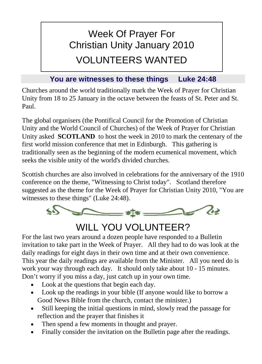## Week Of Prayer For Christian Unity January 2010 VOLUNTEERS WANTED

### **You are witnesses to these things Luke 24:48**

Churches around the world traditionally mark the Week of Prayer for Christian Unity from 18 to 25 January in the octave between the feasts of St. Peter and St. Paul.

The global organisers (the Pontifical Council for the Promotion of Christian Unity and the World Council of Churches) of the Week of Prayer for Christian Unity asked **SCOTLAND** to host the week in 2010 to mark the centenary of the first world mission conference that met in Edinburgh. This gathering is traditionally seen as the beginning of the modern ecumenical movement, which seeks the visible unity of the world's divided churches.

Scottish churches are also involved in celebrations for the anniversary of the 1910 conference on the theme, "Witnessing to Christ today". Scotland therefore suggested as the theme for the Week of Prayer for Christian Unity 2010, "You are witnesses to these things" (Luke 24:48).



### WILL YOU VOLUNTEER?

For the last two years around a dozen people have responded to a Bulletin invitation to take part in the Week of Prayer. All they had to do was look at the daily readings for eight days in their own time and at their own convenience. This year the daily readings are available from the Minister. All you need do is work your way through each day. It should only take about 10 - 15 minutes. Don't worry if you miss a day, just catch up in your own time.

- Look at the questions that begin each day.
- Look up the readings in your bible (If anyone would like to borrow a Good News Bible from the church, contact the minister.)
- Still keeping the initial questions in mind, slowly read the passage for reflection and the prayer that finishes it
- Then spend a few moments in thought and prayer.
- Finally consider the invitation on the Bulletin page after the readings.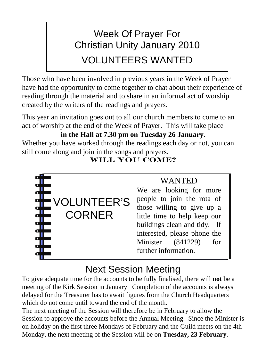## Week Of Prayer For Christian Unity January 2010 VOLUNTEERS WANTED

Those who have been involved in previous years in the Week of Prayer have had the opportunity to come together to chat about their experience of reading through the material and to share in an informal act of worship created by the writers of the readings and prayers.

This year an invitation goes out to all our church members to come to an act of worship at the end of the Week of Prayer. This will take place

### **in the Hall at 7.30 pm on Tuesday 26 January**.

Whether you have worked through the readings each day or not, you can still come along and join in the songs and prayers.

### **WILL YOU COME?**



### **WANTED**

We are looking for more people to join the rota of those willing to give up a little time to help keep our buildings clean and tidy. If interested, please phone the Minister (841229) for further information.

### Next Session Meeting

To give adequate time for the accounts to be fully finalised, there will **not** be a meeting of the Kirk Session in January Completion of the accounts is always delayed for the Treasurer has to await figures from the Church Headquarters which do not come until toward the end of the month.

The next meeting of the Session will therefore be in February to allow the Session to approve the accounts before the Annual Meeting. Since the Minister is on holiday on the first three Mondays of February and the Guild meets on the 4th Monday, the next meeting of the Session will be on **Tuesday, 23 February**.